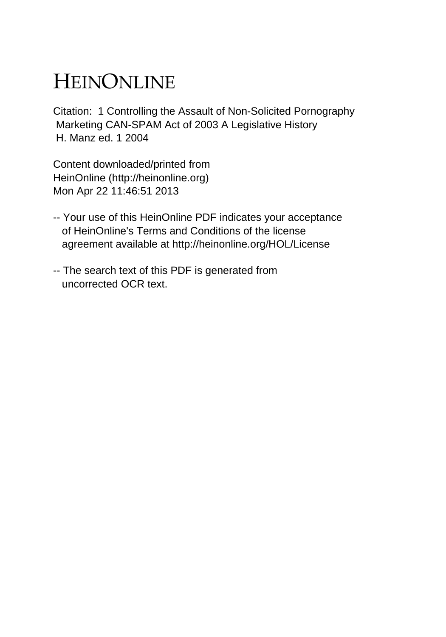# HEINONLINE

Citation: 1 Controlling the Assault of Non-Solicited Pornography Marketing CAN-SPAM Act of 2003 A Legislative History H. Manz ed. 1 2004

Content downloaded/printed from HeinOnline (http://heinonline.org) Mon Apr 22 11:46:51 2013

- -- Your use of this HeinOnline PDF indicates your acceptance of HeinOnline's Terms and Conditions of the license agreement available at http://heinonline.org/HOL/License
- -- The search text of this PDF is generated from uncorrected OCR text.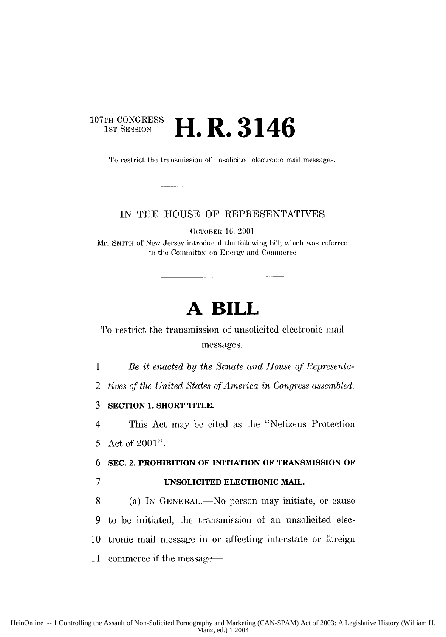## **107TH** CONGRESS **H.R.3146**

To restrict the transmission of unsolicited electronic mail messages.

 $\mathbf{I}$ 

## IN THE HOUSE OF REPRESENTATIVES

OCTOBER 16, 2001

**Mr.** SMITH of New Jersey introduced the following hill; which was referred to the Committee on Energy and Commerce

## **A BILL**

To restrict the transmission of unsolicited electronic mail messages.

*1 Be it enacted by the Senate and House of Representa-*

2 *tives of the United States of America in Congress assermbled,*

**3 SECTION 1. SHORT TITLE.**

4 This Act may be cited as the "Netizens Protection 5 Act of 2001".

**6 SEC. 2. PROHIBITION OF INITIATION OF TRANSMISSION OF**

**7 UNSOLICITED ELECTRONIC MAIL.**

8 (a) In GENERAL.—No person may initiate, or cause 9 to be initiated, the transmission of an unsolicited elec-10 tronic mail message in **or** affecting interstate or foreign 11 commerce if the message-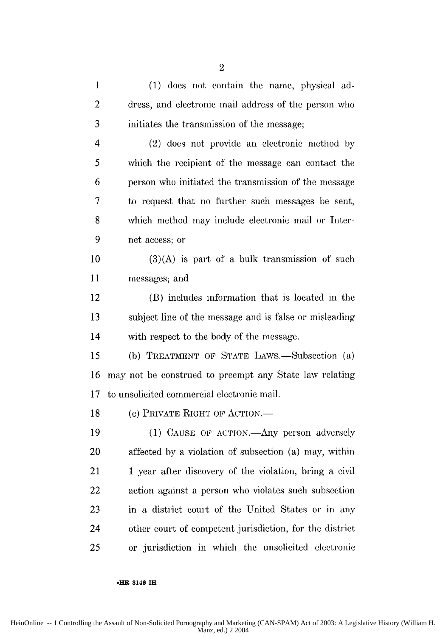| $\mathbf{1}$ | (1) does not contain the name, physical ad-             |
|--------------|---------------------------------------------------------|
| 2            | dress, and electronic mail address of the person who    |
| 3            | initiates the transmission of the message;              |
| 4            | (2) does not provide an electronic method by            |
| 5            | which the recipient of the message can contact the      |
| 6            | person who initiated the transmission of the message    |
| 7            | to request that no further such messages be sent,       |
| 8            | which method may include electronic mail or Inter-      |
| 9            | net access; or                                          |
| 10           | $(3)(A)$ is part of a bulk transmission of such         |
| 11           | messages; and                                           |
| 12           | (B) includes information that is located in the         |
| 13           | subject line of the message and is false or misleading  |
| 14           | with respect to the body of the message.                |
| 15           | (b) TREATMENT OF STATE LAWS.—Subsection (a)             |
| 16           | may not be construed to preempt any State law relating  |
| 17           | to unsolicited commercial electronic mail.              |
| 18           | (c) PRIVATE RIGHT OF ACTION.—                           |
| 19           | (1) CAUSE OF ACTION.—Any person adversely               |
| 20           | affected by a violation of subsection (a) may, within   |
| 21           | 1 year after discovery of the violation, bring a civil  |
| 22           | action against a person who violates such subsection    |
| 23           | in a district court of the United States or in any      |
| 24           | other court of competent jurisdiction, for the district |
| 25           | or jurisdiction in which the unsolicited electronic     |

#### **-HR** 3146 IH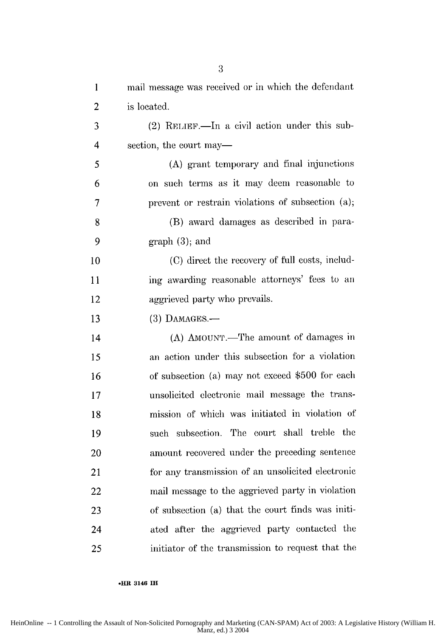| $\mathbf{1}$   | mail message was received or in which the defendant |
|----------------|-----------------------------------------------------|
| $\overline{2}$ | is located.                                         |
| 3              | $(2)$ RELIEF.—In a civil action under this sub-     |
| 4              | section, the court may—                             |
| 5              | (A) grant temporary and final injunctions           |
| 6              | on such terms as it may deem reasonable to          |
| 7              | prevent or restrain violations of subsection (a);   |
| 8              | (B) award damages as described in para-             |
| 9              | $graph(3)$ ; and                                    |
| 10             | (C) direct the recovery of full costs, includ-      |
| 11             | ing awarding reasonable attorneys' fees to an       |
| 12             | aggrieved party who prevails.                       |
| 13             | $(3)$ DAMAGES. $-$                                  |
| 14             | (A) AMOUNT.—The amount of damages in                |
| 15             | an action under this subsection for a violation     |
| 16             | of subsection (a) may not exceed \$500 for each     |
| 17             | unsolicited electronic mail message the trans-      |
| 18             | mission of which was initiated in violation of      |
| 19             | such subsection. The court shall treble the         |
| 20             | amount recovered under the preceding sentence       |
| 21             | for any transmission of an unsolicited electronic   |
| 22             | mail message to the aggrieved party in violation    |
| 23             | of subsection (a) that the court finds was initi-   |
| 24             | ated after the aggrieved party contacted the        |
| 25             | initiator of the transmission to request that the   |

**\*HR 3146 IH**

3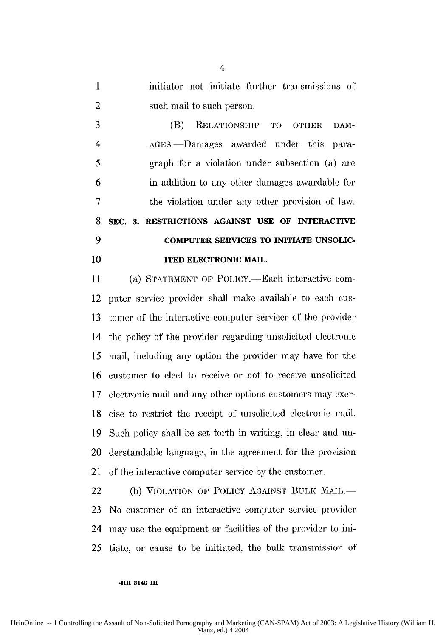1 initiator not initiate further transmissions of 2 such mail to such person.

3 (B) RELATIONSHIP TO OTHER DAM-4 AGES.-Damages awarded under this para-5 graph for a violation under subsection (a) are 6 in addition to any other damages awardable for 7 the violation under any other provision of law. **8 SEC. 3. RESTRICTIONS AGAINST USE OF INTERACTIVE 9 COMPUTER SERVICES TO INITIATE UNSOLIC-**10 **ITED ELECTRONIC MAIL.** 

11 (a) STATEMENT OF POLICY.—Each interactive com-12 puter service provider shall make available to each cus-13 tomer of the interactive computer servicer of the provider 14 the policy of the provider regarding unsolicited electronic 15 mail, including any option the provider may have for the 16 customer to elect to receive or not to receive unsolicited 17 electronic mail and any other options customers may exer-18 cise to restrict the receipt of unsolicited electronic mail. 19 Such policy shall be set forth in writing, in clear and un-20 derstandable language, in the agreement for the provision 21 of the interactive computer service by the customer.

22 (b) VIOLATION OF POLICY AGAINST BULK MAIL.-23 No customer of an interactive computer service provider 24 may use the equipment or facilities of the provider to ini-25 tiate, or cause to be initiated, the bulk transmission of

**.HR 3146** M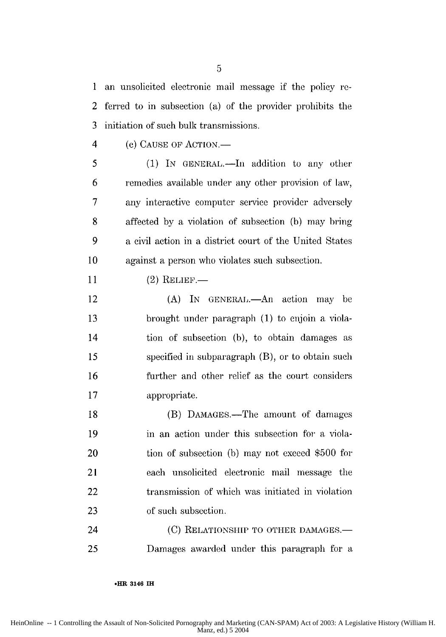1 an unsolicited electronic mail message if the policy re-2 ferred to in subsection (a) of the provider prohibits the 3 initiation of such bulk transmissions.

4 (c) **CAUSE** OF **ACTION.-**

5 (1) IN GENERAL.—In addition to any other 6 remedies available under any other provision of law, 7 any interactive computer service provider adversely 8 affected by a violation of subsection (b) may bring 9 a civil action in a district court of the United States **10** against a person who violates such subsection.

11 (2) RELIEF.

12 (A) In GENERAL.—An action may be 13 brought under paragraph (1) to enjoin a viola-14 tion of subsection (b), to obtain damages as *15* specified in subparagraph (B), or to obtain such 16 further and other relief as the court considers 17 appropriate.

18 (B) DAMAGES.—The amount of damages 19 in an action under this subsection for a viola-20 tion of subsection (b) may not exceed \$500 for 21 each unsolicited electronic mail message the 22 transmission of which was initiated in violation 23 of such subsection.

24 (C) RELATIONSHIP TO OTHER **DAMAGES.-** 25 Damages awarded under this paragraph for a

**.HR 3146 IH**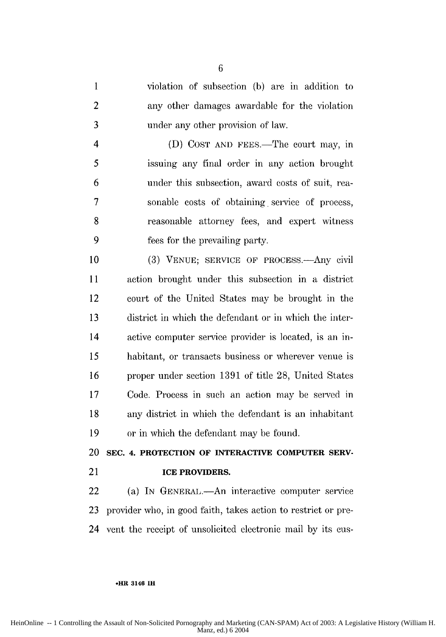1 violation of subsection (b) are in addition to 2 any other damages awardable for the violation 3 under any other provision of law.

4 (D) COST AND FEES.—The court may, in 5 issuing any final order in any action brought 6 under this subsection, award costs of suit, rea-7 sonable costs of obtaining. service of process, 8 reasonable attorney fees, and expert witness 9 fees for the prevailing party.

10 (3) VENUE; SERVICE OF PROCESS.—Any civil **<sup>11</sup>**action brought under this subsection in a district 12 court of the United States may be brought in the 13 district in which the defendant or in which the inter-14 active computer service provider is located, is an in-15 habitant, or transacts business or wherever venue is 16 proper under section 1391 of title 28, United States 17 Code. Process in such an action may be served in 18 any district in which the defendant is an inhabitant 19 or in which the defendant may be found.

20 **SEC.** 4. PROTECTION OF INTERACTIVE COMPUTER **SERV-**

## 21 **ICE PROVIDERS.**

22 (a) In GENERAL.—An interactive computer service 23 provider who, in good faith, takes action to restrict or pre-24 vent the receipt of unsolicited electronic mail by its cus-

#### **\*HR 3146 IH**

HeinOnline -- 1 Controlling the Assault of Non-Solicited Pornography and Marketing (CAN-SPAM) Act of 2003: A Legislative History (William H. Manz, ed.) 6 2004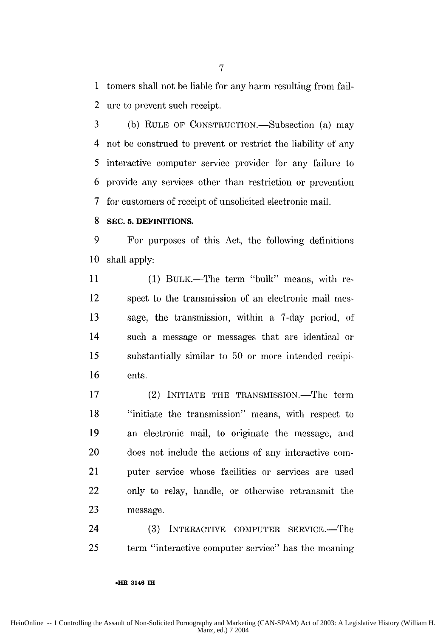1 tomers shall not be liable for any harm resulting from fail-2 ure to prevent such receipt.

3 (b) RULE OF CONSTRUCTION.—Subsection (a) may 4 not be construed to prevent or restrict the liability of any 5 interactive computer service provider for any failure to 6 provide any services other than restriction or prevention 7 for customers of receipt of unsolicited electronic mail.

#### **8 SEC. 5. DEFINITIONS.**

9 For purposes of this Act, the following defiitions **10** shall apply:

**1** (1) BULK.-The term "bulk" means, with re-12 spect to the transmission of an electronic mail mes-13 sage, the transmission, within a 7-day period, of 14 such a message or messages that are identical or 15 substantially similar to 50 or more intended recipi-16 ents.

17 (2) INITIATE THE TRANSMISSION.—The term 18 "initiate the transmission" means, with respect to 19 an electronic mail, to originate the message, and 20 does not include the actions of any interactive con-21 puter service whose facilities or services are used 22 only to relay, handle, or otherwise retransmit the **23** message.

24 (3) INTERACTIVE COMPUTER SERVICE.-The 25 term "interactive computer service" has the meaning

#### **.HR 3146 H**